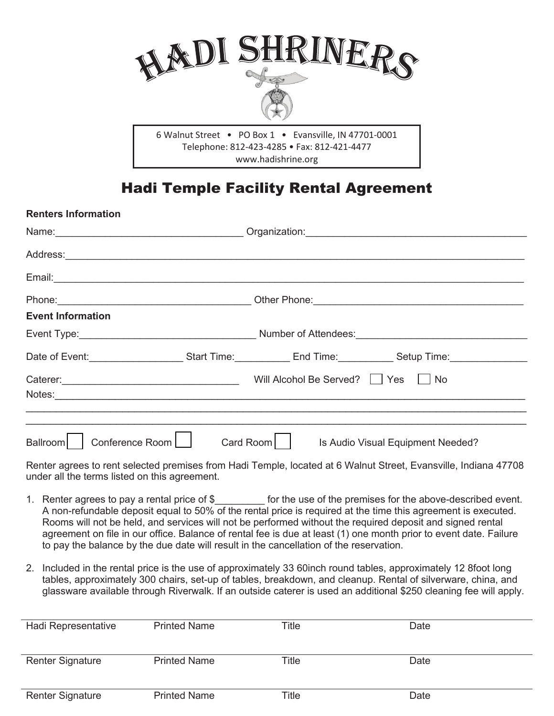

6 Walnut Street • PO Box 1 • Evansville, IN 47701-0001 Telephone: 812-423-4285 • Fax: 812-421-4477 www.hadishrine.org

## Hadi Temple Facility Rental Agreement

| <b>Renters Information</b>                                   |                                            |           |                                   |  |  |
|--------------------------------------------------------------|--------------------------------------------|-----------|-----------------------------------|--|--|
|                                                              |                                            |           |                                   |  |  |
|                                                              |                                            |           |                                   |  |  |
|                                                              |                                            |           |                                   |  |  |
|                                                              |                                            |           |                                   |  |  |
| <b>Event Information</b>                                     |                                            |           |                                   |  |  |
|                                                              |                                            |           |                                   |  |  |
| Date of Event: Start Time: End Time: Setup Time: Setup Time: |                                            |           |                                   |  |  |
|                                                              | Will Alcohol Be Served?   Yes<br><b>No</b> |           |                                   |  |  |
|                                                              |                                            |           |                                   |  |  |
|                                                              |                                            |           |                                   |  |  |
| Conference Room<br><b>Ballroom</b>                           |                                            | Card Room | Is Audio Visual Equipment Needed? |  |  |

Renter agrees to rent selected premises from Hadi Temple, located at 6 Walnut Street, Evansville, Indiana 47708 under all the terms listed on this agreement.

- 1. Renter agrees to pay a rental price of \$ for the use of the premises for the above-described event. A non-refundable deposit equal to 50% of the rental price is required at the time this agreement is executed. Rooms will not be held, and services will not be performed without the required deposit and signed rental agreement on file in our office. Balance of rental fee is due at least (1) one month prior to event date. Failure to pay the balance by the due date will result in the cancellation of the reservation.
- 2. Included in the rental price is the use of approximately 33 60inch round tables, approximately 12 8foot long tables, approximately 300 chairs, set-up of tables, breakdown, and cleanup. Rental of silverware, china, and glassware available through Riverwalk. If an outside caterer is used an additional \$250 cleaning fee will apply.

| Hadi Representative     | <b>Printed Name</b> | Title | Date |
|-------------------------|---------------------|-------|------|
| <b>Renter Signature</b> | <b>Printed Name</b> | Title | Date |
| <b>Renter Signature</b> | <b>Printed Name</b> | Title | Date |